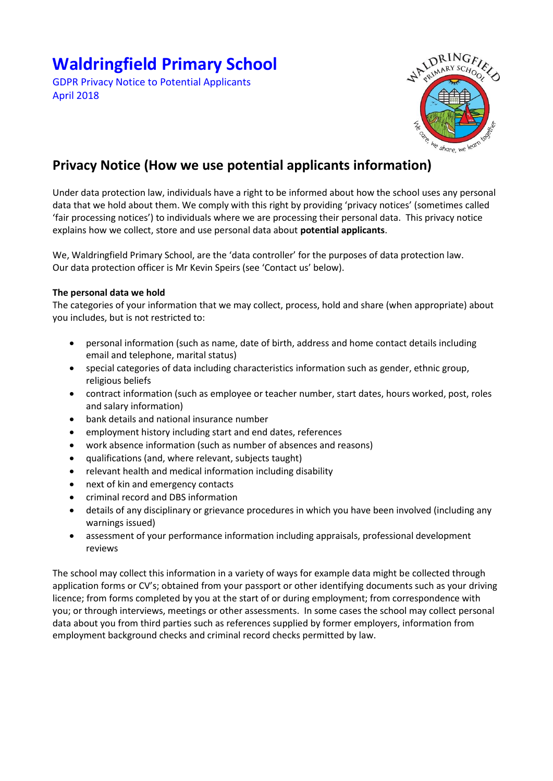# **Waldringfield Primary School**

GDPR Privacy Notice to Potential Applicants April 2018



## **Privacy Notice (How we use potential applicants information)**

Under data protection law, individuals have a right to be informed about how the school uses any personal data that we hold about them. We comply with this right by providing 'privacy notices' (sometimes called 'fair processing notices') to individuals where we are processing their personal data. This privacy notice explains how we collect, store and use personal data about **potential applicants**.

We, Waldringfield Primary School, are the 'data controller' for the purposes of data protection law. Our data protection officer is Mr Kevin Speirs (see 'Contact us' below).

### **The personal data we hold**

The categories of your information that we may collect, process, hold and share (when appropriate) about you includes, but is not restricted to:

- personal information (such as name, date of birth, address and home contact details including email and telephone, marital status)
- special categories of data including characteristics information such as gender, ethnic group, religious beliefs
- contract information (such as employee or teacher number, start dates, hours worked, post, roles and salary information)
- bank details and national insurance number
- employment history including start and end dates, references
- work absence information (such as number of absences and reasons)
- qualifications (and, where relevant, subjects taught)
- relevant health and medical information including disability
- next of kin and emergency contacts
- criminal record and DBS information
- details of any disciplinary or grievance procedures in which you have been involved (including any warnings issued)
- assessment of your performance information including appraisals, professional development reviews

The school may collect this information in a variety of ways for example data might be collected through application forms or CV's; obtained from your passport or other identifying documents such as your driving licence; from forms completed by you at the start of or during employment; from correspondence with you; or through interviews, meetings or other assessments. In some cases the school may collect personal data about you from third parties such as references supplied by former employers, information from employment background checks and criminal record checks permitted by law.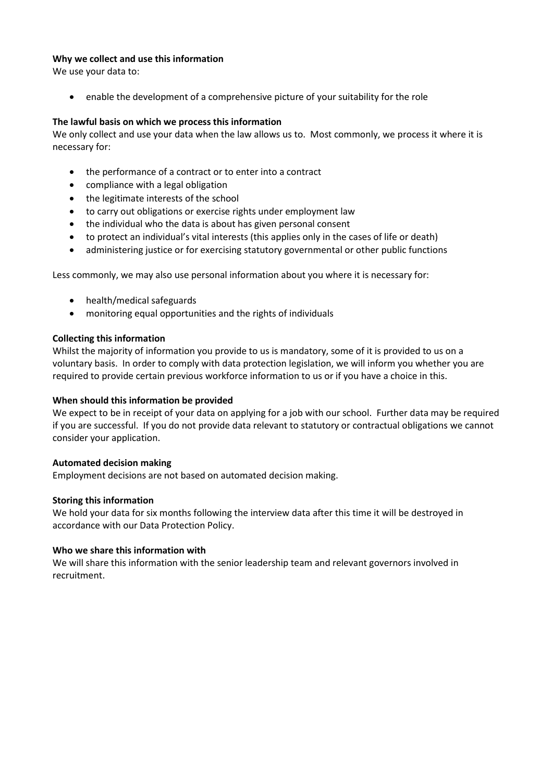#### **Why we collect and use this information**

We use your data to:

enable the development of a comprehensive picture of your suitability for the role

#### **The lawful basis on which we process this information**

We only collect and use your data when the law allows us to. Most commonly, we process it where it is necessary for:

- the performance of a contract or to enter into a contract
- compliance with a legal obligation
- the legitimate interests of the school
- to carry out obligations or exercise rights under employment law
- the individual who the data is about has given personal consent
- to protect an individual's vital interests (this applies only in the cases of life or death)
- administering justice or for exercising statutory governmental or other public functions

Less commonly, we may also use personal information about you where it is necessary for:

- health/medical safeguards
- monitoring equal opportunities and the rights of individuals

#### **Collecting this information**

Whilst the majority of information you provide to us is mandatory, some of it is provided to us on a voluntary basis. In order to comply with data protection legislation, we will inform you whether you are required to provide certain previous workforce information to us or if you have a choice in this.

#### **When should this information be provided**

We expect to be in receipt of your data on applying for a job with our school. Further data may be required if you are successful. If you do not provide data relevant to statutory or contractual obligations we cannot consider your application.

#### **Automated decision making**

Employment decisions are not based on automated decision making.

#### **Storing this information**

We hold your data for six months following the interview data after this time it will be destroyed in accordance with our Data Protection Policy.

#### **Who we share this information with**

We will share this information with the senior leadership team and relevant governors involved in recruitment.